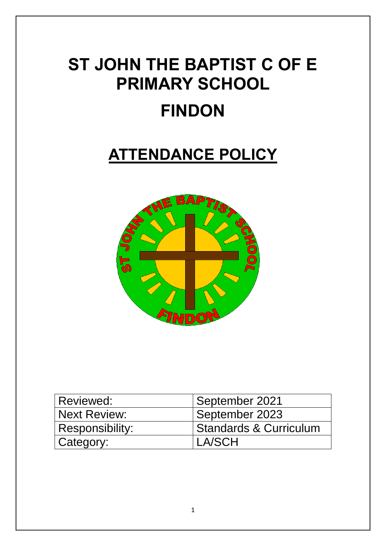# **ST JOHN THE BAPTIST C OF E PRIMARY SCHOOL FINDON**

# **ATTENDANCE POLICY**



| Reviewed:           | September 2021                    |
|---------------------|-----------------------------------|
| <b>Next Review:</b> | September 2023                    |
| Responsibility:     | <b>Standards &amp; Curriculum</b> |
| Category:           | I A/SCH                           |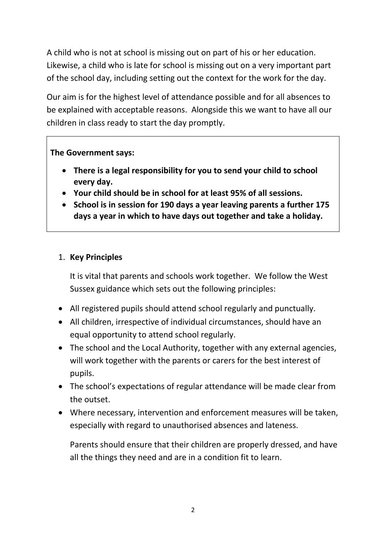A child who is not at school is missing out on part of his or her education. Likewise, a child who is late for school is missing out on a very important part of the school day, including setting out the context for the work for the day.

Our aim is for the highest level of attendance possible and for all absences to be explained with acceptable reasons. Alongside this we want to have all our children in class ready to start the day promptly.

## **The Government says:**

- **There is a legal responsibility for you to send your child to school every day.**
- **Your child should be in school for at least 95% of all sessions.**
- **School is in session for 190 days a year leaving parents a further 175 days a year in which to have days out together and take a holiday.**

# 1. **Key Principles**

It is vital that parents and schools work together. We follow the West Sussex guidance which sets out the following principles:

- All registered pupils should attend school regularly and punctually.
- All children, irrespective of individual circumstances, should have an equal opportunity to attend school regularly.
- The school and the Local Authority, together with any external agencies, will work together with the parents or carers for the best interest of pupils.
- The school's expectations of regular attendance will be made clear from the outset.
- Where necessary, intervention and enforcement measures will be taken, especially with regard to unauthorised absences and lateness.

Parents should ensure that their children are properly dressed, and have all the things they need and are in a condition fit to learn.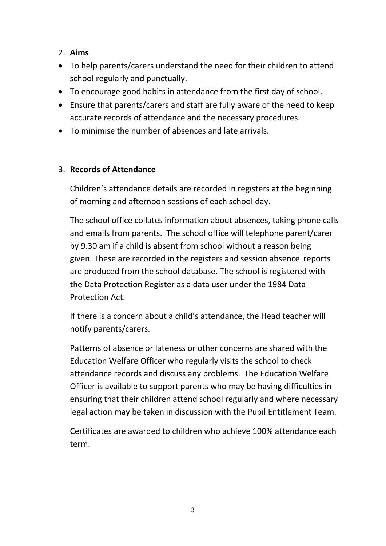# 2. **Aims**

- To help parents/carers understand the need for their children to attend school regularly and punctually.
- To encourage good habits in attendance from the first day of school.
- Ensure that parents/carers and staff are fully aware of the need to keep accurate records of attendance and the necessary procedures.
- To minimise the number of absences and late arrivals.

# 3. **Records of Attendance**

Children's attendance details are recorded in registers at the beginning of morning and afternoon sessions of each school day.

The school office collates information about absences, taking phone calls and emails from parents. The school office will telephone parent/carer by 9.30 am if a child is absent from school without a reason being given. These are recorded in the registers and session absence reports are produced from the school database. The school is registered with the Data Protection Register as a data user under the 1984 Data Protection Act.

If there is a concern about a child's attendance, the Head teacher will notify parents/carers.

Patterns of absence or lateness or other concerns are shared with the Education Welfare Officer who regularly visits the school to check attendance records and discuss any problems. The Education Welfare Officer is available to support parents who may be having difficulties in ensuring that their children attend school regularly and where necessary legal action may be taken in discussion with the Pupil Entitlement Team.

Certificates are awarded to children who achieve 100% attendance each term.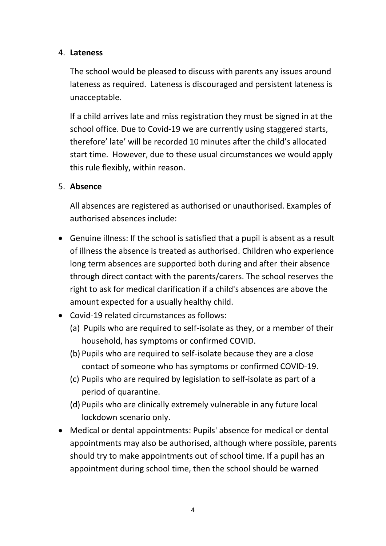#### 4. **Lateness**

The school would be pleased to discuss with parents any issues around lateness as required. Lateness is discouraged and persistent lateness is unacceptable.

If a child arrives late and miss registration they must be signed in at the school office. Due to Covid-19 we are currently using staggered starts, therefore' late' will be recorded 10 minutes after the child's allocated start time. However, due to these usual circumstances we would apply this rule flexibly, within reason.

## 5. **Absence**

All absences are registered as authorised or unauthorised. Examples of authorised absences include:

- Genuine illness: If the school is satisfied that a pupil is absent as a result of illness the absence is treated as authorised. Children who experience long term absences are supported both during and after their absence through direct contact with the parents/carers. The school reserves the right to ask for medical clarification if a child's absences are above the amount expected for a usually healthy child.
- Covid-19 related circumstances as follows:
	- (a) Pupils who are required to self-isolate as they, or a member of their household, has symptoms or confirmed COVID.
	- (b) Pupils who are required to self-isolate because they are a close contact of someone who has symptoms or confirmed COVID-19.
	- (c) Pupils who are required by legislation to self-isolate as part of a period of quarantine.
	- (d) Pupils who are clinically extremely vulnerable in any future local lockdown scenario only.
- Medical or dental appointments: Pupils' absence for medical or dental appointments may also be authorised, although where possible, parents should try to make appointments out of school time. If a pupil has an appointment during school time, then the school should be warned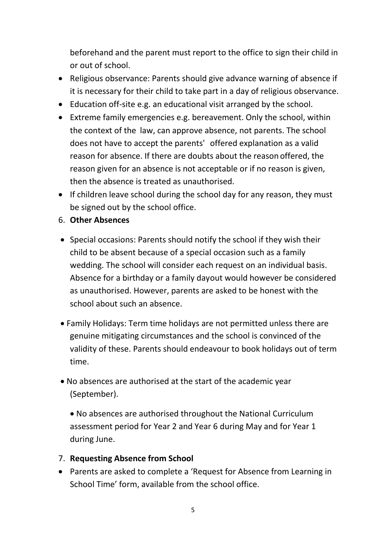beforehand and the parent must report to the office to sign their child in or out of school.

- Religious observance: Parents should give advance warning of absence if it is necessary for their child to take part in a day of religious observance.
- Education off-site e.g. an educational visit arranged by the school.
- Extreme family emergencies e.g. bereavement. Only the school, within the context of the law, can approve absence, not parents. The school does not have to accept the parents' offered explanation as a valid reason for absence. If there are doubts about the reason offered, the reason given for an absence is not acceptable or if no reason is given, then the absence is treated as unauthorised.
- If children leave school during the school day for any reason, they must be signed out by the school office.
- 6. **Other Absences**
- Special occasions: Parents should notify the school if they wish their child to be absent because of a special occasion such as a family wedding. The school will consider each request on an individual basis. Absence for a birthday or a family dayout would however be considered as unauthorised. However, parents are asked to be honest with the school about such an absence.
- Family Holidays: Term time holidays are not permitted unless there are genuine mitigating circumstances and the school is convinced of the validity of these. Parents should endeavour to book holidays out of term time.
- No absences are authorised at the start of the academic year (September).

 No absences are authorised throughout the National Curriculum assessment period for Year 2 and Year 6 during May and for Year 1 during June.

## 7. **Requesting Absence from School**

 Parents are asked to complete a 'Request for Absence from Learning in School Time' form, available from the school office.